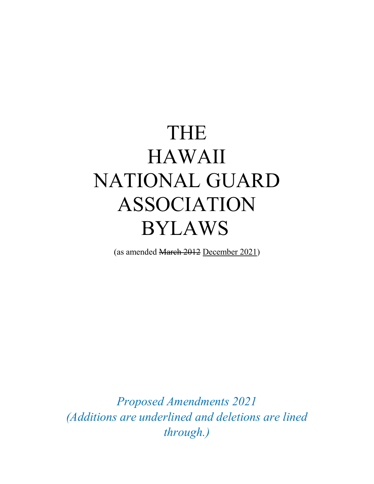# THE HAWAII NATIONAL GUARD ASSOCIATION BYLAWS

(as amended March 2012 December 2021)

*Proposed Amendments 2021 (Additions are underlined and deletions are lined through.)*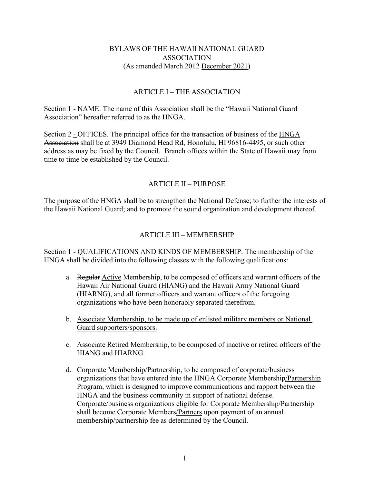#### BYLAWS OF THE HAWAII NATIONAL GUARD ASSOCIATION (As amended March 2012 December 2021)

#### ARTICLE I – THE ASSOCIATION

Section 1 - NAME. The name of this Association shall be the "Hawaii National Guard Association" hereafter referred to as the HNGA.

Section 2 - OFFICES. The principal office for the transaction of business of the HNGA Association shall be at 3949 Diamond Head Rd, Honolulu, HI 96816-4495, or such other address as may be fixed by the Council. Branch offices within the State of Hawaii may from time to time be established by the Council.

#### ARTICLE II – PURPOSE

The purpose of the HNGA shall be to strengthen the National Defense; to further the interests of the Hawaii National Guard; and to promote the sound organization and development thereof.

# ARTICLE III – MEMBERSHIP

Section 1 - QUALIFICATIONS AND KINDS OF MEMBERSHIP. The membership of the HNGA shall be divided into the following classes with the following qualifications:

- a. Regular Active Membership, to be composed of officers and warrant officers of the Hawaii Air National Guard (HIANG) and the Hawaii Army National Guard (HIARNG), and all former officers and warrant officers of the foregoing organizations who have been honorably separated therefrom.
- b. Associate Membership, to be made up of enlisted military members or National Guard supporters/sponsors.
- c. Associate Retired Membership, to be composed of inactive or retired officers of the HIANG and HIARNG.
- d. Corporate Membership/Partnership, to be composed of corporate/business organizations that have entered into the HNGA Corporate Membership/Partnership Program, which is designed to improve communications and rapport between the HNGA and the business community in support of national defense. Corporate/business organizations eligible for Corporate Membership/Partnership shall become Corporate Members/Partners upon payment of an annual membership/partnership fee as determined by the Council.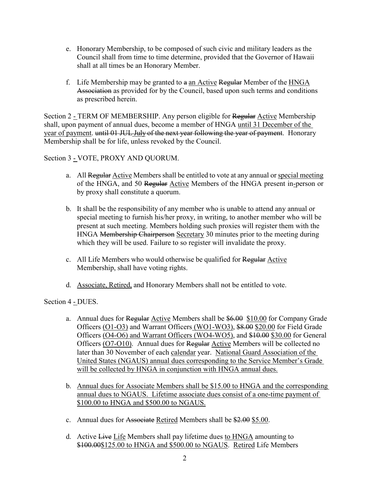- e. Honorary Membership, to be composed of such civic and military leaders as the Council shall from time to time determine, provided that the Governor of Hawaii shall at all times be an Honorary Member.
- f. Life Membership may be granted to  $a$  an Active Regular Member of the  $HNGA$ Association as provided for by the Council, based upon such terms and conditions as prescribed herein.

Section 2 - TERM OF MEMBERSHIP. Any person eligible for Regular Active Membership shall, upon payment of annual dues, become a member of HNGA until 31 December of the year of payment. until 01 JUL July of the next year following the year of payment. Honorary Membership shall be for life, unless revoked by the Council.

Section 3 - VOTE, PROXY AND QUORUM.

- a. All Regular Active Members shall be entitled to vote at any annual or special meeting of the HNGA, and 50 Regular Active Members of the HNGA present in-person or by proxy shall constitute a quorum.
- b. It shall be the responsibility of any member who is unable to attend any annual or special meeting to furnish his/her proxy, in writing, to another member who will be present at such meeting. Members holding such proxies will register them with the HNGA Membership Chairperson Secretary 30 minutes prior to the meeting during which they will be used. Failure to so register will invalidate the proxy.
- c. All Life Members who would otherwise be qualified for Regular Active Membership, shall have voting rights.
- d. Associate, Retired, and Honorary Members shall not be entitled to vote.

Section 4 - DUES.

- a. Annual dues for Regular Active Members shall be \$6.00 \$10.00 for Company Grade Officers (O1-O3) and Warrant Officers (WO1-WO3), \$8.00 \$20.00 for Field Grade Officers (O4-O6) and Warrant Officers (WO4-WO5), and \$10.00 \$30.00 for General Officers (O7-O10). Annual dues for Regular Active Members will be collected no later than 30 November of each calendar year. National Guard Association of the United States (NGAUS) annual dues corresponding to the Service Member's Grade will be collected by HNGA in conjunction with HNGA annual dues.
- b. Annual dues for Associate Members shall be \$15.00 to HNGA and the corresponding annual dues to NGAUS. Lifetime associate dues consist of a one-time payment of \$100.00 to HNGA and \$500.00 to NGAUS.
- c. Annual dues for Associate Retired Members shall be \$2.00 \$5.00.
- d. Active Live Life Members shall pay lifetime dues to HNGA amounting to \$100.00\$125.00 to HNGA and \$500.00 to NGAUS. Retired Life Members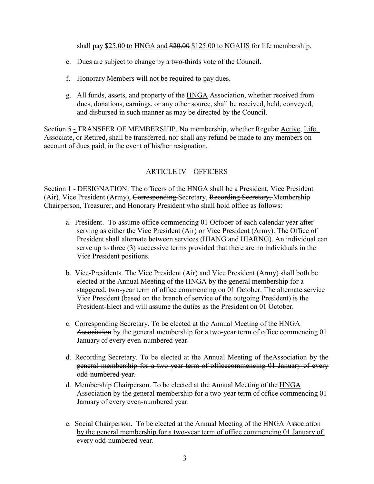shall pay \$25.00 to HNGA and \$20.00 \$125.00 to NGAUS for life membership.

- e. Dues are subject to change by a two-thirds vote of the Council.
- f. Honorary Members will not be required to pay dues.
- g. All funds, assets, and property of the HNGA Association, whether received from dues, donations, earnings, or any other source, shall be received, held, conveyed, and disbursed in such manner as may be directed by the Council.

Section 5 - TRANSFER OF MEMBERSHIP. No membership, whether Regular Active, Life, Associate, or Retired, shall be transferred, nor shall any refund be made to any members on account of dues paid, in the event of his/her resignation.

# ARTICLE IV – OFFICERS

Section 1 - DESIGNATION. The officers of the HNGA shall be a President, Vice President (Air), Vice President (Army), Corresponding Secretary, Recording Secretary, Membership Chairperson, Treasurer, and Honorary President who shall hold office as follows:

- a. President. To assume office commencing 01 October of each calendar year after serving as either the Vice President (Air) or Vice President (Army). The Office of President shall alternate between services (HIANG and HIARNG). An individual can serve up to three (3) successive terms provided that there are no individuals in the Vice President positions.
- b. Vice-Presidents. The Vice President (Air) and Vice President (Army) shall both be elected at the Annual Meeting of the HNGA by the general membership for a staggered, two-year term of office commencing on 01 October. The alternate service Vice President (based on the branch of service of the outgoing President) is the President-Elect and will assume the duties as the President on 01 October.
- c. Corresponding Secretary. To be elected at the Annual Meeting of the HNGA Association by the general membership for a two-year term of office commencing 01 January of every even-numbered year.
- d. Recording Secretary. To be elected at the Annual Meeting of theAssociation by the general membership for a two-year term of officecommencing 01 January of every odd-numbered year.
- d. Membership Chairperson. To be elected at the Annual Meeting of the HNGA Association by the general membership for a two-year term of office commencing 01 January of every even-numbered year.
- e. Social Chairperson. To be elected at the Annual Meeting of the HNGA Association by the general membership for a two-year term of office commencing 01 January of every odd-numbered year.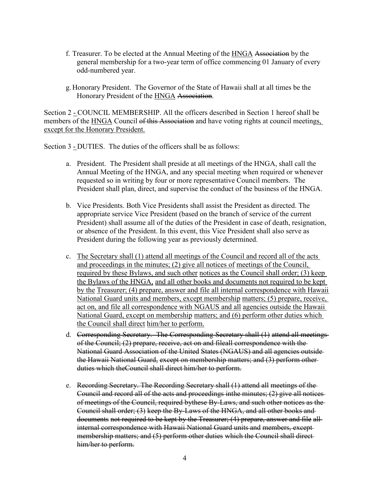- f. Treasurer. To be elected at the Annual Meeting of the HNGA Association by the general membership for a two-year term of office commencing 01 January of every odd-numbered year.
- g. Honorary President. The Governor of the State of Hawaii shall at all times be the Honorary President of the HNGA Association.

Section 2 - COUNCIL MEMBERSHIP. All the officers described in Section 1 hereof shall be members of the HNGA Council of this Association and have voting rights at council meetings, except for the Honorary President.

Section 3 - DUTIES. The duties of the officers shall be as follows:

- a. President. The President shall preside at all meetings of the HNGA, shall call the Annual Meeting of the HNGA, and any special meeting when required or whenever requested so in writing by four or more representative Council members. The President shall plan, direct, and supervise the conduct of the business of the HNGA.
- b. Vice Presidents. Both Vice Presidents shall assist the President as directed. The appropriate service Vice President (based on the branch of service of the current President) shall assume all of the duties of the President in case of death, resignation, or absence of the President. In this event, this Vice President shall also serve as President during the following year as previously determined.
- c. The Secretary shall (1) attend all meetings of the Council and record all of the acts and proceedings in the minutes; (2) give all notices of meetings of the Council, required by these Bylaws, and such other notices as the Council shall order; (3) keep the Bylaws of the HNGA, and all other books and documents not required to be kept by the Treasurer; (4) prepare, answer and file all internal correspondence with Hawaii National Guard units and members, except membership matters; (5) prepare, receive, act on, and file all correspondence with NGAUS and all agencies outside the Hawaii National Guard, except on membership matters; and (6) perform other duties which the Council shall direct him/her to perform.
- d. Corresponding Secretary. The Corresponding Secretary shall (1) attend all meetings of the Council; (2) prepare, receive, act on and fileall correspondence with the National Guard Association of the United States (NGAUS) and all agencies outside the Hawaii National Guard, except on membership matters; and (3) perform other duties which theCouncil shall direct him/her to perform.
- e. Recording Secretary. The Recording Secretary shall (1) attend all meetings of the Council and record all of the acts and proceedings inthe minutes; (2) give all notices of meetings of the Council, required bythese By-Laws, and such other notices as the Council shall order; (3) keep the By-Laws of the HNGA, and all other books and documents not required to be kept by the Treasurer; (4) prepare, answer and file all internal correspondence with Hawaii National Guard units and members, except membership matters; and (5) perform other duties which the Council shall direct him/her to perform.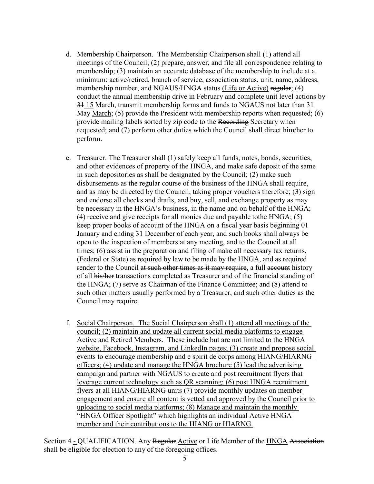- d. Membership Chairperson. The Membership Chairperson shall (1) attend all meetings of the Council; (2) prepare, answer, and file all correspondence relating to membership; (3) maintain an accurate database of the membership to include at a minimum: active/retired, branch of service, association status, unit, name, address, membership number, and NGAUS/HNGA status (Life or Active) regular; (4) conduct the annual membership drive in February and complete unit level actions by 31 15 March, transmit membership forms and funds to NGAUS not later than 31 May March; (5) provide the President with membership reports when requested; (6) provide mailing labels sorted by zip code to the Recording Secretary when requested; and (7) perform other duties which the Council shall direct him/her to perform.
- e. Treasurer. The Treasurer shall (1) safely keep all funds, notes, bonds, securities, and other evidences of property of the HNGA, and make safe deposit of the same in such depositories as shall be designated by the Council; (2) make such disbursements as the regular course of the business of the HNGA shall require, and as may be directed by the Council, taking proper vouchers therefore; (3) sign and endorse all checks and drafts, and buy, sell, and exchange property as may be necessary in the HNGA's business, in the name and on behalf of the HNGA; (4) receive and give receipts for all monies due and payable tothe HNGA; (5) keep proper books of account of the HNGA on a fiscal year basis beginning 01 January and ending 31 December of each year, and such books shall always be open to the inspection of members at any meeting, and to the Council at all times;  $(6)$  assist in the preparation and filing of  $\overline{\text{make}}$  all necessary tax returns, (Federal or State) as required by law to be made by the HNGA, and as required render to the Council at such other times as it may require, a full account history of all his/her transactions completed as Treasurer and of the financial standing of the HNGA; (7) serve as Chairman of the Finance Committee; and (8) attend to such other matters usually performed by a Treasurer, and such other duties as the Council may require.
- f. Social Chairperson. The Social Chairperson shall (1) attend all meetings of the council; (2) maintain and update all current social media platforms to engage Active and Retired Members. These include but are not limited to the HNGA website, Facebook, Instagram, and LinkedIn pages; (3) create and propose social events to encourage membership and e spirit de corps among HIANG/HIARNG officers; (4) update and manage the HNGA brochure (5) lead the advertising campaign and partner with NGAUS to create and post recruitment flyers that leverage current technology such as QR scanning; (6) post HNGA recruitment flyers at all HIANG/HIARNG units (7) provide monthly updates on member engagement and ensure all content is vetted and approved by the Council prior to uploading to social media platforms; (8) Manage and maintain the monthly "HNGA Officer Spotlight" which highlights an individual Active HNGA member and their contributions to the HIANG or HIARNG.

Section 4 - QUALIFICATION. Any Regular Active or Life Member of the HNGA Association shall be eligible for election to any of the foregoing offices.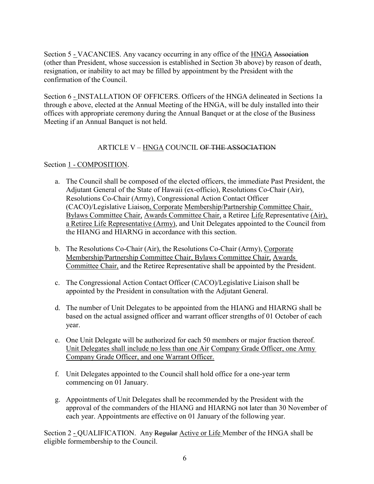Section 5 - VACANCIES. Any vacancy occurring in any office of the HNGA Association (other than President, whose succession is established in Section 3b above) by reason of death, resignation, or inability to act may be filled by appointment by the President with the confirmation of the Council.

Section 6 - INSTALLATION OF OFFICERS. Officers of the HNGA delineated in Sections 1a through e above, elected at the Annual Meeting of the HNGA, will be duly installed into their offices with appropriate ceremony during the Annual Banquet or at the close of the Business Meeting if an Annual Banquet is not held.

# ARTICLE V – HNGA COUNCIL OF THE ASSOCIATION

#### Section 1 - COMPOSITION.

- a. The Council shall be composed of the elected officers, the immediate Past President, the Adjutant General of the State of Hawaii (ex-officio), Resolutions Co-Chair (Air), Resolutions Co-Chair (Army), Congressional Action Contact Officer (CACO)/Legislative Liaison, Corporate Membership/Partnership Committee Chair, Bylaws Committee Chair, Awards Committee Chair, a Retiree Life Representative (Air), a Retiree Life Representative (Army), and Unit Delegates appointed to the Council from the HIANG and HIARNG in accordance with this section.
- b. The Resolutions Co-Chair (Air), the Resolutions Co-Chair (Army), Corporate Membership/Partnership Committee Chair, Bylaws Committee Chair, Awards Committee Chair, and the Retiree Representative shall be appointed by the President.
- c. The Congressional Action Contact Officer (CACO)/Legislative Liaison shall be appointed by the President in consultation with the Adjutant General.
- d. The number of Unit Delegates to be appointed from the HIANG and HIARNG shall be based on the actual assigned officer and warrant officer strengths of 01 October of each year.
- e. One Unit Delegate will be authorized for each 50 members or major fraction thereof. Unit Delegates shall include no less than one Air Company Grade Officer, one Army Company Grade Officer, and one Warrant Officer.
- f. Unit Delegates appointed to the Council shall hold office for a one-year term commencing on 01 January.
- g. Appointments of Unit Delegates shall be recommended by the President with the approval of the commanders of the HIANG and HIARNG not later than 30 November of each year. Appointments are effective on 01 January of the following year.

Section 2 - QUALIFICATION. Any Regular Active or Life Member of the HNGA shall be eligible formembership to the Council.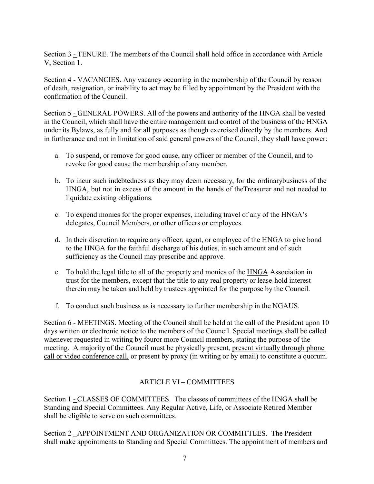Section 3 - TENURE. The members of the Council shall hold office in accordance with Article V, Section 1.

Section 4 - VACANCIES. Any vacancy occurring in the membership of the Council by reason of death, resignation, or inability to act may be filled by appointment by the President with the confirmation of the Council.

Section 5 - GENERAL POWERS. All of the powers and authority of the HNGA shall be vested in the Council, which shall have the entire management and control of the business of the HNGA under its Bylaws, as fully and for all purposes as though exercised directly by the members. And in furtherance and not in limitation of said general powers of the Council, they shall have power:

- a. To suspend, or remove for good cause, any officer or member of the Council, and to revoke for good cause the membership of any member.
- b. To incur such indebtedness as they may deem necessary, for the ordinarybusiness of the HNGA, but not in excess of the amount in the hands of theTreasurer and not needed to liquidate existing obligations.
- c. To expend monies for the proper expenses, including travel of any of the HNGA's delegates, Council Members, or other officers or employees.
- d. In their discretion to require any officer, agent, or employee of the HNGA to give bond to the HNGA for the faithful discharge of his duties, in such amount and of such sufficiency as the Council may prescribe and approve.
- e. To hold the legal title to all of the property and monies of the **HNGA** Association in trust for the members, except that the title to any real property or lease-hold interest therein may be taken and held by trustees appointed for the purpose by the Council.
- f. To conduct such business as is necessary to further membership in the NGAUS.

Section 6 - MEETINGS. Meeting of the Council shall be held at the call of the President upon 10 days written or electronic notice to the members of the Council. Special meetings shall be called whenever requested in writing by fouror more Council members, stating the purpose of the meeting. A majority of the Council must be physically present, present virtually through phone call or video conference call, or present by proxy (in writing or by email) to constitute a quorum.

# ARTICLE VI – COMMITTEES

Section 1 - CLASSES OF COMMITTEES. The classes of committees of the HNGA shall be Standing and Special Committees. Any Regular Active, Life, or Associate Retired Member shall be eligible to serve on such committees.

Section 2 - APPOINTMENT AND ORGANIZATION OR COMMITTEES. The President shall make appointments to Standing and Special Committees. The appointment of members and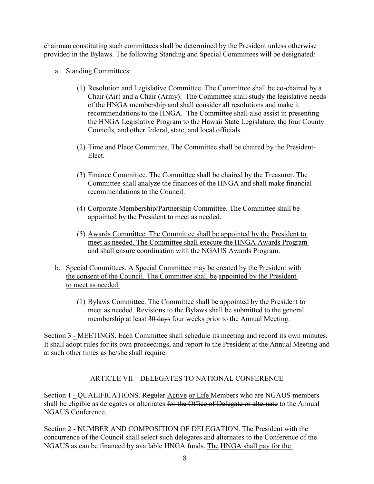chairman constituting such committees shall be determined by the President unless otherwise provided in the Bylaws. The following Standing and Special Committees will be designated:

- a. Standing Committees:
	- (1) Resolution and Legislative Committee. The Committee shall be co-chaired by a Chair (Air) and a Chair (Army). The Committee shall study the legislative needs of the HNGA membership and shall consider all resolutions and make it recommendations to the HNGA. The Committee shall also assist in presenting the HNGA Legislative Program to the Hawaii State Legislature, the four County Councils, and other federal, state, and local officials.
	- (2) Time and Place Committee. The Committee shall be chaired by the President-Elect.
	- (3) Finance Committee. The Committee shall be chaired by the Treasurer. The Committee shall analyze the finances of the HNGA and shall make financial recommendations to the Council.
	- (4) Corporate Membership/Partnership Committee. The Committee shall be appointed by the President to meet as needed.
	- (5) Awards Committee. The Committee shall be appointed by the President to meet as needed. The Committee shall execute the HNGA Awards Program and shall ensure coordination with the NGAUS Awards Program.
- b. Special Committees. A Special Committee may be created by the President with the consent of the Council. The Committee shall be appointed by the President to meet as needed.
	- (1) Bylaws Committee. The Committee shall be appointed by the President to meet as needed. Revisions to the Bylaws shall be submitted to the general membership at least 30 days four weeks prior to the Annual Meeting.

Section 3 - MEETINGS. Each Committee shall schedule its meeting and record its own minutes. It shall adopt rules for its own proceedings, and report to the President at the Annual Meeting and at such other times as he/she shall require.

# ARTICLE VII – DELEGATES TO NATIONAL CONFERENCE

Section 1 - QUALIFICATIONS. Regular <u>Active or Life</u> Members who are NGAUS members shall be eligible as delegates or alternates for the Office of Delegate or alternate to the Annual NGAUS Conference.

Section 2 - NUMBER AND COMPOSITION OF DELEGATION. The President with the concurrence of the Council shall select such delegates and alternates to the Conference of the NGAUS as can be financed by available HNGA funds. The HNGA shall pay for the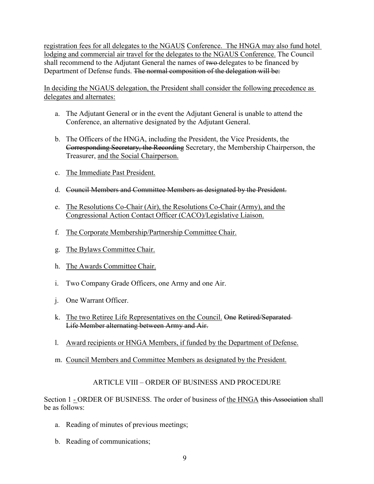registration fees for all delegates to the NGAUS Conference. The HNGA may also fund hotel lodging and commercial air travel for the delegates to the NGAUS Conference. The Council shall recommend to the Adjutant General the names of two delegates to be financed by Department of Defense funds. The normal composition of the delegation will be:

In deciding the NGAUS delegation, the President shall consider the following precedence as delegates and alternates:

- a. The Adjutant General or in the event the Adjutant General is unable to attend the Conference, an alternative designated by the Adjutant General.
- b. The Officers of the HNGA, including the President, the Vice Presidents, the Corresponding Secretary, the Recording Secretary, the Membership Chairperson, the Treasurer, and the Social Chairperson.
- c. The Immediate Past President.
- d. Council Members and Committee Members as designated by the President.
- e. The Resolutions Co-Chair (Air), the Resolutions Co-Chair (Army), and the Congressional Action Contact Officer (CACO)/Legislative Liaison.
- f. The Corporate Membership/Partnership Committee Chair.
- g. The Bylaws Committee Chair.
- h. The Awards Committee Chair.
- i. Two Company Grade Officers, one Army and one Air.
- j. One Warrant Officer.
- k. The two Retiree Life Representatives on the Council. One Retired/Separated Life Member alternating between Army and Air.
- l. Award recipients or HNGA Members, if funded by the Department of Defense.
- m. Council Members and Committee Members as designated by the President.

#### ARTICLE VIII – ORDER OF BUSINESS AND PROCEDURE

Section 1 - ORDER OF BUSINESS. The order of business of the HNGA this Association shall be as follows:

- a. Reading of minutes of previous meetings;
- b. Reading of communications;